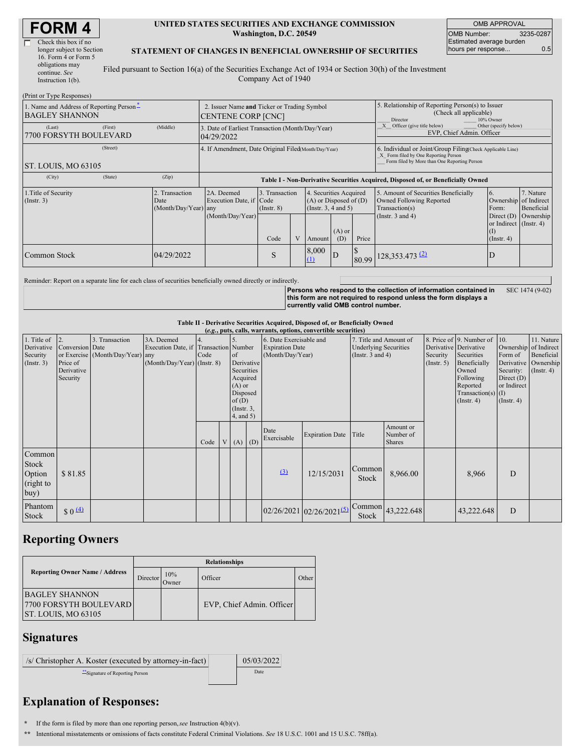| <b>FORM4</b> |  |
|--------------|--|
|--------------|--|

| Check this box if no      |   |
|---------------------------|---|
| longer subject to Section |   |
| 16. Form 4 or Form 5      |   |
| obligations may           | Ī |
| continue. See             |   |
| Instruction $1(b)$ .      |   |

 $(D_{\text{min}})$  on Type  $D_{\text{out}}$ 

Г

### **UNITED STATES SECURITIES AND EXCHANGE COMMISSION Washington, D.C. 20549**

OMB APPROVAL OMB Number: 3235-0287 Estimated average burden hours per response... 0.5

### **STATEMENT OF CHANGES IN BENEFICIAL OWNERSHIP OF SECURITIES**

Filed pursuant to Section 16(a) of the Securities Exchange Act of 1934 or Section 30(h) of the Investment Company Act of 1940

| $(1 \text{ min of 1 ypc Rcspons})$<br>1. Name and Address of Reporting Person <sup>*</sup><br><b>BAGLEY SHANNON</b> |          | 2. Issuer Name and Ticker or Trading Symbol<br>CENTENE CORP [CNC] |                                                                                  |                                   |  |                                                                              | 5. Relationship of Reporting Person(s) to Issuer<br>(Check all applicable)<br>10% Owner<br>Director |                                                                                  |                                                                                                                                                    |                                                                   |            |  |
|---------------------------------------------------------------------------------------------------------------------|----------|-------------------------------------------------------------------|----------------------------------------------------------------------------------|-----------------------------------|--|------------------------------------------------------------------------------|-----------------------------------------------------------------------------------------------------|----------------------------------------------------------------------------------|----------------------------------------------------------------------------------------------------------------------------------------------------|-------------------------------------------------------------------|------------|--|
| (Last)<br>7700 FORSYTH BOULEVARD                                                                                    | (First)  | (Middle)                                                          | 3. Date of Earliest Transaction (Month/Day/Year)<br>04/29/2022                   |                                   |  |                                                                              |                                                                                                     | Other (specify below)<br>Officer (give title below)<br>EVP, Chief Admin. Officer |                                                                                                                                                    |                                                                   |            |  |
| ST. LOUIS, MO 63105                                                                                                 | (Street) |                                                                   | 4. If Amendment, Date Original Filed(Month/Day/Year)                             |                                   |  |                                                                              |                                                                                                     |                                                                                  | 6. Individual or Joint/Group Filing(Check Applicable Line)<br>X Form filed by One Reporting Person<br>Form filed by More than One Reporting Person |                                                                   |            |  |
| (City)                                                                                                              | (State)  | (Zip)                                                             | Table I - Non-Derivative Securities Acquired, Disposed of, or Beneficially Owned |                                   |  |                                                                              |                                                                                                     |                                                                                  |                                                                                                                                                    |                                                                   |            |  |
| 1. Title of Security<br>2. Transaction<br>$($ Instr. 3 $)$<br>Date                                                  |          | (Month/Day/Year) any                                              | 2A. Deemed<br>Execution Date, if Code                                            | 3. Transaction<br>$($ Instr. $8)$ |  | 4. Securities Acquired<br>$(A)$ or Disposed of $(D)$<br>(Insert. 3, 4 and 5) |                                                                                                     |                                                                                  | 5. Amount of Securities Beneficially<br><b>Owned Following Reported</b><br>Transaction(s)                                                          | 7. Nature<br>6.<br>Ownership of Indirect<br>Form:                 | Beneficial |  |
|                                                                                                                     |          |                                                                   | (Month/Day/Year)                                                                 | Code                              |  | Amount                                                                       | $(A)$ or<br>(D)                                                                                     | Price                                                                            | (Instr. $3$ and $4$ )                                                                                                                              | Direct $(D)$<br>or Indirect (Instr. 4)<br>(1)<br>$($ Instr. 4 $)$ | Ownership  |  |
| Common Stock                                                                                                        |          | 04/29/2022                                                        |                                                                                  | S                                 |  | 8,000<br>$\Omega$                                                            | ID                                                                                                  |                                                                                  | 80.99 128,353.473 (2)                                                                                                                              | Ð                                                                 |            |  |

Reminder: Report on a separate line for each class of securities beneficially owned directly or indirectly.

**Persons who respond to the collection of information contained in this form are not required to respond unless the form displays a currently valid OMB control number.** SEC 1474 (9-02)

## **Table II - Derivative Securities Acquired, Disposed of, or Beneficially Owned**

|                                                           |                                                                          |                                                    |                                                                 |                                         |                                                                                                        |            |                                                                       | (e.g., puts, calls, warrants, options, convertible securities) |                                                                                 |                                         |                         |                                                                                                                                                              |                                                                                                  |                                                                      |
|-----------------------------------------------------------|--------------------------------------------------------------------------|----------------------------------------------------|-----------------------------------------------------------------|-----------------------------------------|--------------------------------------------------------------------------------------------------------|------------|-----------------------------------------------------------------------|----------------------------------------------------------------|---------------------------------------------------------------------------------|-----------------------------------------|-------------------------|--------------------------------------------------------------------------------------------------------------------------------------------------------------|--------------------------------------------------------------------------------------------------|----------------------------------------------------------------------|
| 1. Title of<br>Derivative<br>Security<br>$($ Instr. 3 $)$ | $\overline{12}$<br>Conversion Date<br>Price of<br>Derivative<br>Security | 3. Transaction<br>or Exercise (Month/Day/Year) any | 3A. Deemed<br>Execution Date, if<br>(Month/Day/Year) (Instr. 8) | 4.<br><b>Transaction</b> Number<br>Code | of<br>Securities<br>Acquired<br>$(A)$ or<br>Disposed<br>of $(D)$<br>$($ Instr. $3,$<br>$4$ , and $5$ ) | Derivative | 6. Date Exercisable and<br><b>Expiration Date</b><br>(Month/Day/Year) |                                                                | 7. Title and Amount of<br><b>Underlying Securities</b><br>(Instr. $3$ and $4$ ) |                                         | Security<br>(Insert. 5) | 8. Price of 9. Number of 10.<br>Derivative Derivative<br>Securities<br>Beneficially<br>Owned<br>Following<br>Reported<br>$Transaction(s)$ (I)<br>(Insert. 4) | Ownership of Indirect<br>Form of<br>Security:<br>Direct $(D)$<br>or Indirect<br>$($ Instr. 4 $)$ | 11. Nature<br>Beneficial<br>Derivative Ownership<br>$($ Instr. 4 $)$ |
|                                                           |                                                                          |                                                    |                                                                 | Code                                    | $(A)$ $(D)$                                                                                            |            | Date<br>Exercisable                                                   | Expiration Date Title                                          |                                                                                 | Amount or<br>Number of<br><b>Shares</b> |                         |                                                                                                                                                              |                                                                                                  |                                                                      |
| Common<br>Stock<br>Option<br>(right to<br>buy)            | \$81.85                                                                  |                                                    |                                                                 |                                         |                                                                                                        |            | (3)                                                                   | 12/15/2031                                                     | Common<br>Stock                                                                 | 8,966.00                                |                         | 8,966                                                                                                                                                        | D                                                                                                |                                                                      |
| Phantom<br>Stock                                          | $$0 \underline{4}$                                                       |                                                    |                                                                 |                                         |                                                                                                        |            |                                                                       | $02/26/2021$ $02/26/2021^{5}$                                  | Common<br>Stock                                                                 | 43,222.648                              |                         | 43,222.648                                                                                                                                                   | D                                                                                                |                                                                      |

## **Reporting Owners**

|                                                                               | <b>Relationships</b> |              |                           |                    |  |  |  |  |
|-------------------------------------------------------------------------------|----------------------|--------------|---------------------------|--------------------|--|--|--|--|
| <b>Reporting Owner Name / Address</b>                                         | Director             | 10%<br>Owner | Officer                   | Other <sup>1</sup> |  |  |  |  |
| <b>BAGLEY SHANNON</b><br><b>7700 FORSYTH BOULEVARD</b><br>ST. LOUIS, MO 63105 |                      |              | EVP, Chief Admin. Officer |                    |  |  |  |  |

## **Signatures**

/s/ Christopher A. Koster (executed by attorney-in-fact) 05/03/2022 \*\*Signature of Reporting Person Date

# **Explanation of Responses:**

**\*** If the form is filed by more than one reporting person,*see* Instruction 4(b)(v).

**\*\*** Intentional misstatements or omissions of facts constitute Federal Criminal Violations. *See* 18 U.S.C. 1001 and 15 U.S.C. 78ff(a).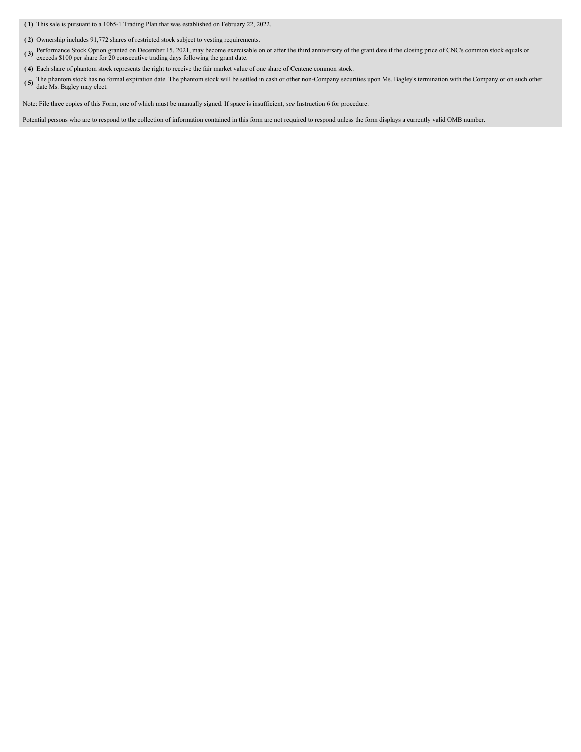**( 1)** This sale is pursuant to a 10b5-1 Trading Plan that was established on February 22, 2022.

**( 2)** Ownership includes 91,772 shares of restricted stock subject to vesting requirements.

- (3) Performance Stock Option granted on December 15, 2021, may become exercisable on or after the third anniversary of the grant date if the closing price of CNC's common stock equals or exceeds \$100 per share for 20 consecutive trading days following the grant date.
- **( 4)** Each share of phantom stock represents the right to receive the fair market value of one share of Centene common stock.
- (5) The phantom stock has no formal expiration date. The phantom stock will be settled in cash or other non-Company securities upon Ms. Bagley's termination with the Company or on such other date Ms. Bagley may elect.

Note: File three copies of this Form, one of which must be manually signed. If space is insufficient, *see* Instruction 6 for procedure.

Potential persons who are to respond to the collection of information contained in this form are not required to respond unless the form displays a currently valid OMB number.